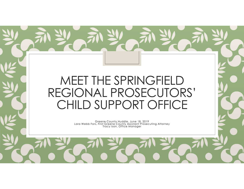#### MEET THE SPRINGFIELD REGIONAL PROSECUTORS' CHILD SUPPORT OFFICE

Greene County Huddle, June 18, 2019 Lara Webb Fors, First Greene County Assistant Prosecuting Attorney Tracy Ison, Office Manager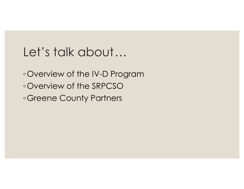#### Let's talk about…

◦Overview of the IV-D Program ◦Overview of the SRPCSO ◦Greene County Partners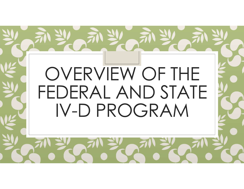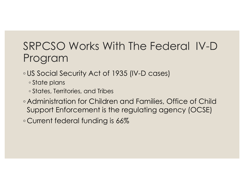#### SRPCSO Works With The Federal IV-D Program

- ◦US Social Security Act of 1935 (IV-D cases)
	- State plans
	- States, Territories, and Tribes
- Administration for Children and Families, Office of Child Support Enforcement is the regulating agency (OCSE)

◦ Current federal funding is 66%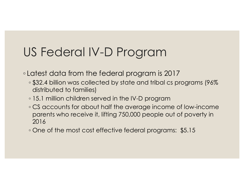### US Federal IV-D Program

◦ Latest data from the federal program is 2017

- \$32.4 billion was collected by state and tribal cs programs (96% distributed to families)
- 15.1 million children served in the IV-D program
- CS accounts for about half the average income of low-income parents who receive it, lifting 750,000 people out of poverty in 2016
- One of the most cost effective federal programs: \$5.15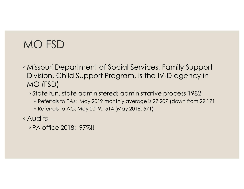#### MO FSD

◦ Missouri Department of Social Services, Family Support Division, Child Support Program, is the IV-D agency in MO (FSD)

◦ State run, state administered; administrative process 1982

◦ Referrals to PAs: May 2019 monthly average is 27,207 (down from 29,171

◦ Referrals to AG: May 2019: 514 (May 2018: 571)

◦ Audits—

◦ PA office 2018: 97%!!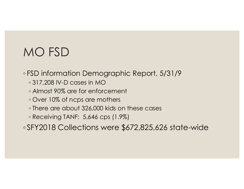### MO FSD

◦ FSD information Demographic Report, 5/31/9

- 317,208 IV-D cases in MO
- Almost 90% are for enforcement
- Over 10% of ncps are mothers
- There are about 326,000 kids on these cases

◦ Receiving TANF: 5,646 cps (1.9%)

◦ SFY2018 Collections were \$672,825,626 state-wide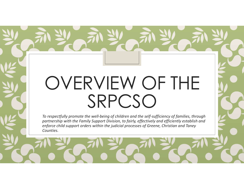## OVERVIEW OF THE SRPCSO

To respectfully promote the well-being of children and the self-sufficiency of families, through partnership with the Family Support Division, to fairly, effectively and efficiently establish and enforce child support orders within the judicial processes of Greene, Christian and Taney Counties.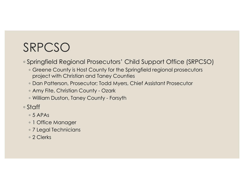### SRPCSO

◦ Springfield Regional Prosecutors' Child Support Office (SRPCSO)

- Greene County is Host County for the Springfield regional prosecutors project with Christian and Taney Counties RPCSO<br>
Springfield Regional Prosecutors' Child Support Office (SRPC<br>
⊕ Greene County is Host County for the Springfield regional prosecutors<br>
⇒ Dan Patterson, Prosecutor; Todd Myers, Chief Assistant Prosecutor<br>← Amy Fite, RPCSO<br>
Springfield Regional Prosecutors' Child Support Office (SRPCSC<br>
• Greene County is Host County for the Springfield regional prosecutors<br>
• Dan Patterson, Prosecutor; Todd Myers, Chief Assistant Prosecutor<br>• Amy Fite
- Dan Patterson, Prosecutor; Todd Myers, Chief Assistant Prosecutor
- 
- 
- Staff
	- 5 APAs
	- 1 Office Manager
	- 7 Legal Technicians
	- 2 Clerks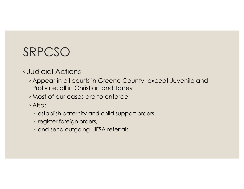### SRPCSO

#### ◦ Judicial Actions

- Appear in all courts in Greene County, except Juvenile and Probate; all in Christian and Taney
- Most of our cases are to enforce
- Also:
	- establish paternity and child support orders
	- register foreign orders,
	- and send outgoing UIFSA referrals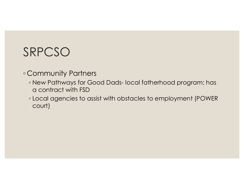#### SRPCSO

- Community Partners
- RPCSO<br>
Community Partners<br>◦ New Pathways for Good Dads- local fatherhood program; has<br>□ a contract with FSD<br>◦ Local agencies to assist with obstacles to employment (POWER a contract with FSD
	- Local agencies to assist with obstacles to employment (POWER court)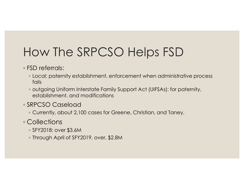## How The SRPCSO Helps FSD

◦ FSD referrals:

- Local: paternity establishment, enforcement when administrative process fails
- outgoing Uniform Interstate Family Support Act (UIFSAs): for paternity, establishment, and modifications

◦ SRPCSO Caseload

◦ Currently, about 2,100 cases for Greene, Christian, and Taney,

◦ Collections

- SFY2018: over \$3.6M
- Through April of SFY2019, over, \$2.8M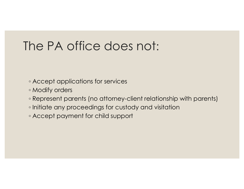#### The PA office does not:

- Accept applications for services
- Modify orders
- Represent parents (no attorney-client relationship with parents)
- Initiate any proceedings for custody and visitation
- Accept payment for child support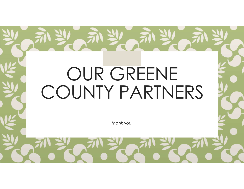# OUR GREENE COUNTY PARTNERS

Thank you!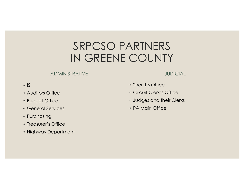#### SRPCSO PARTNERS IN GREENE COUNTY

#### ADMINISTRATIVE

#### JUDICIAL

#### ◦ IS

- Auditors Office
- Budget Office
- General Services
- Purchasing
- Treasurer's Office
- Highway Department
- Sheriff's Office
- Circuit Clerk's Office
- Judges and their Clerks
- PA Main Office